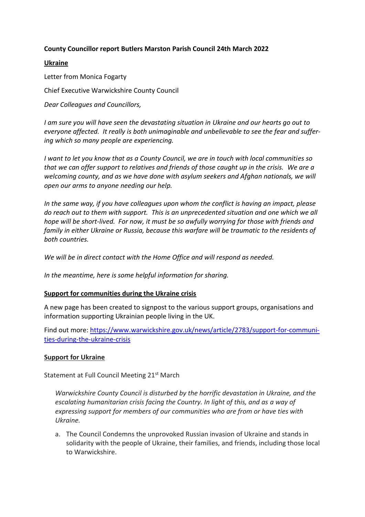# **County Councillor report Butlers Marston Parish Council 24th March 2022**

### **Ukraine**

Letter from Monica Fogarty Chief Executive Warwickshire County Council *Dear Colleagues and Councillors,*

*I am sure you will have seen the devastating situation in Ukraine and our hearts go out to everyone affected. It really is both unimaginable and unbelievable to see the fear and suffering which so many people are experiencing.*

*I want to let you know that as a County Council, we are in touch with local communities so that we can offer support to relatives and friends of those caught up in the crisis. We are a welcoming county, and as we have done with asylum seekers and Afghan nationals, we will open our arms to anyone needing our help.*

*In the same way, if you have colleagues upon whom the conflict is having an impact, please do reach out to them with support. This is an unprecedented situation and one which we all hope will be short-lived. For now, it must be so awfully worrying for those with friends and family in either Ukraine or Russia, because this warfare will be traumatic to the residents of both countries.*

*We will be in direct contact with the Home Office and will respond as needed.*

*In the meantime, here is some helpful information for sharing.*

### **Support for communities during the Ukraine crisis**

A new page has been created to signpost to the various support groups, organisations and information supporting Ukrainian people living in the UK.

Find out more: [https://www.warwickshire.gov.uk/news/article/2783/support-for-communi](https://www.warwickshire.gov.uk/news/article/2783/support-for-communities-during-the-ukraine-crisis)[ties-during-the-ukraine-crisis](https://www.warwickshire.gov.uk/news/article/2783/support-for-communities-during-the-ukraine-crisis)

### **Support for Ukraine**

Statement at Full Council Meeting 21<sup>st</sup> March

*Warwickshire County Council is disturbed by the horrific devastation in Ukraine, and the escalating humanitarian crisis facing the Country. In light of this, and as a way of expressing support for members of our communities who are from or have ties with Ukraine.*

a. The Council Condemns the unprovoked Russian invasion of Ukraine and stands in solidarity with the people of Ukraine, their families, and friends, including those local to Warwickshire.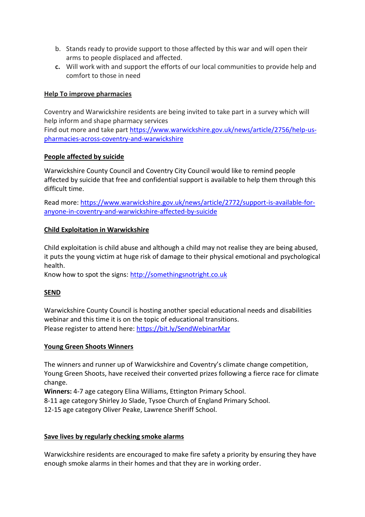- b. Stands ready to provide support to those affected by this war and will open their arms to people displaced and affected.
- **c.** Will work with and support the efforts of our local communities to provide help and comfort to those in need

## **Help To improve pharmacies**

Coventry and Warwickshire residents are being invited to take part in a survey which will help inform and shape pharmacy services Find out more and take part [https://www.warwickshire.gov.uk/news/article/2756/help-us](https://www.warwickshire.gov.uk/news/article/2756/help-us-pharmacies-across-coventry-and-warwickshire)[pharmacies-across-coventry-and-warwickshire](https://www.warwickshire.gov.uk/news/article/2756/help-us-pharmacies-across-coventry-and-warwickshire)

### **People affected by suicide**

Warwickshire County Council and Coventry City Council would like to remind people affected by suicide that free and confidential support is available to help them through this difficult time.

Read more: [https://www.warwickshire.gov.uk/news/article/2772/support-is-available-for](https://www.warwickshire.gov.uk/news/article/2772/support-is-available-for-anyone-in-coventry-and-warwickshire-affected-by-suicide)[anyone-in-coventry-and-warwickshire-affected-by-suicide](https://www.warwickshire.gov.uk/news/article/2772/support-is-available-for-anyone-in-coventry-and-warwickshire-affected-by-suicide)

### **Child Exploitation in Warwickshire**

Child exploitation is child abuse and although a child may not realise they are being abused, it puts the young victim at huge risk of damage to their physical emotional and psychological health.

Know how to spot the signs: [http://somethingsnotright.co.uk](http://somethingsnotright.co.uk/)

# **SEND**

Warwickshire County Council is hosting another special educational needs and disabilities webinar and this time it is on the topic of educational transitions. Please register to attend here:<https://bit.ly/SendWebinarMar>

### **Young Green Shoots Winners**

The winners and runner up of Warwickshire and Coventry's climate change competition, Young Green Shoots, have received their converted prizes following a fierce race for climate change.

**Winners:** 4-7 age category Elina Williams, Ettington Primary School.

8-11 age category Shirley Jo Slade, Tysoe Church of England Primary School.

12-15 age category Oliver Peake, Lawrence Sheriff School.

### **Save lives by regularly checking smoke alarms**

Warwickshire residents are encouraged to make fire safety a priority by ensuring they have enough smoke alarms in their homes and that they are in working order.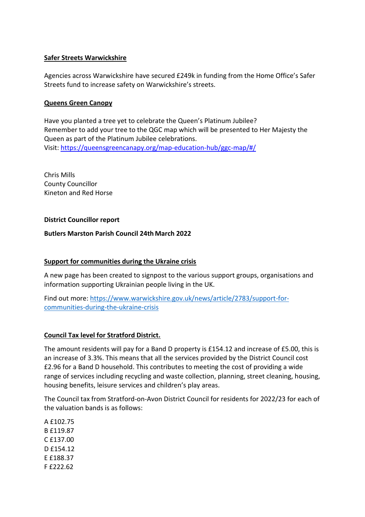### **Safer Streets Warwickshire**

Agencies across Warwickshire have secured £249k in funding from the Home Office's Safer Streets fund to increase safety on Warwickshire's streets.

## **Queens Green Canopy**

Have you planted a tree yet to celebrate the Queen's Platinum Jubilee? Remember to add your tree to the QGC map which will be presented to Her Majesty the Queen as part of the Platinum Jubilee celebrations. Visit:<https://queensgreencanapy.org/map-education-hub/ggc-map/#/>

Chris Mills County Councillor Kineton and Red Horse

### **District Councillor report**

### **Butlers Marston Parish Council 24th March 2022**

## **Support for communities during the Ukraine crisis**

A new page has been created to signpost to the various support groups, organisations and information supporting Ukrainian people living in the UK.

Find out more: [https://www.warwickshire.gov.uk/news/article/2783/support-for](https://www.warwickshire.gov.uk/news/article/2783/support-for-communities-during-the-ukraine-crisis)[communities-during-the-ukraine-crisis](https://www.warwickshire.gov.uk/news/article/2783/support-for-communities-during-the-ukraine-crisis)

# **Council Tax level for Stratford District.**

The amount residents will pay for a Band D property is £154.12 and increase of £5.00, this is an increase of 3.3%. This means that all the services provided by the District Council cost £2.96 for a Band D household. This contributes to meeting the cost of providing a wide range of services including recycling and waste collection, planning, street cleaning, housing, housing benefits, leisure services and children's play areas.

The Council tax from Stratford-on-Avon District Council for residents for 2022/23 for each of the valuation bands is as follows:

A £102.75 B £119.87 C £137.00 D £154.12 E £188.37 F £222.62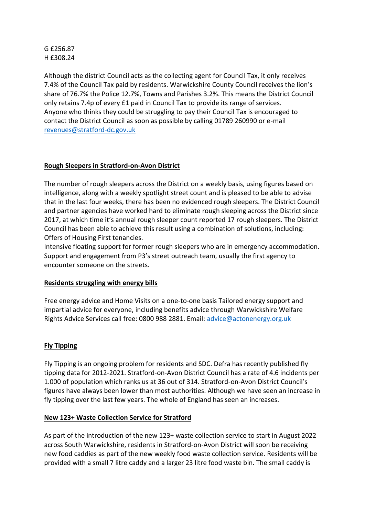# G £256.87 H £308.24

Although the district Council acts as the collecting agent for Council Tax, it only receives 7.4% of the Council Tax paid by residents. Warwickshire County Council receives the lion's share of 76.7% the Police 12.7%, Towns and Parishes 3.2%. This means the District Council only retains 7.4p of every £1 paid in Council Tax to provide its range of services. Anyone who thinks they could be struggling to pay their Council Tax is encouraged to contact the District Council as soon as possible by calling 01789 260990 or e-mail [revenues@stratford-dc.gov.uk](mailto:revenues@stratford-dc.gov.uk)

# **Rough Sleepers in Stratford-on-Avon District**

The number of rough sleepers across the District on a weekly basis, using figures based on intelligence, along with a weekly spotlight street count and is pleased to be able to advise that in the last four weeks, there has been no evidenced rough sleepers. The District Council and partner agencies have worked hard to eliminate rough sleeping across the District since 2017, at which time it's annual rough sleeper count reported 17 rough sleepers. The District Council has been able to achieve this result using a combination of solutions, including: Offers of Housing First tenancies.

Intensive floating support for former rough sleepers who are in emergency accommodation. Support and engagement from P3's street outreach team, usually the first agency to encounter someone on the streets.

### **Residents struggling with energy bills**

Free energy advice and Home Visits on a one-to-one basis Tailored energy support and impartial advice for everyone, including benefits advice through Warwickshire Welfare Rights Advice Services call free: 0800 988 2881. Email: [advice@actonenergy.org.uk](mailto:advice@actonenergy.org.uk)

# **Fly Tipping**

Fly Tipping is an ongoing problem for residents and SDC. Defra has recently published fly tipping data for 2012-2021. Stratford-on-Avon District Council has a rate of 4.6 incidents per 1.000 of population which ranks us at 36 out of 314. Stratford-on-Avon District Council's figures have always been lower than most authorities. Although we have seen an increase in fly tipping over the last few years. The whole of England has seen an increases.

### **New 123+ Waste Collection Service for Stratford**

As part of the introduction of the new 123+ waste collection service to start in August 2022 across South Warwickshire, residents in Stratford-on-Avon District will soon be receiving new food caddies as part of the new weekly food waste collection service. Residents will be provided with a small 7 litre caddy and a larger 23 litre food waste bin. The small caddy is